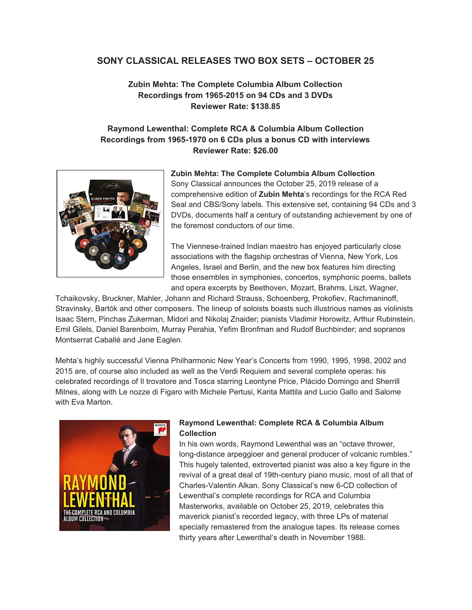### **SONY CLASSICAL RELEASES TWO BOX SETS – OCTOBER 25**

### **Zubin Mehta: The Complete Columbia Album Collection Recordings from 1965-2015 on 94 CDs and 3 DVDs Reviewer Rate: \$138.85**

# **Raymond Lewenthal: Complete RCA & Columbia Album Collection Recordings from 1965-1970 on 6 CDs plus a bonus CD with interviews Reviewer Rate: \$26.00**



# **Zubin Mehta: The Complete Columbia Album Collection**

Sony Classical announces the October 25, 2019 release of a comprehensive edition of **Zubin Mehta**'s recordings for the RCA Red Seal and CBS/Sony labels. This extensive set, containing 94 CDs and 3 DVDs, documents half a century of outstanding achievement by one of the foremost conductors of our time.

The Viennese-trained Indian maestro has enjoyed particularly close associations with the flagship orchestras of Vienna, New York, Los Angeles, Israel and Berlin, and the new box features him directing those ensembles in symphonies, concertos, symphonic poems, ballets and opera excerpts by Beethoven, Mozart, Brahms, Liszt, Wagner,

Tchaikovsky, Bruckner, Mahler, Johann and Richard Strauss, Schoenberg, Prokofiev, Rachmaninoff, Stravinsky, Bartók and other composers. The lineup of soloists boasts such illustrious names as violinists Isaac Stern, Pinchas Zukerman, Midori and Nikolaj Znaider; pianists Vladimir Horowitz, Arthur Rubinstein, Emil Gilels, Daniel Barenboim, Murray Perahia, Yefim Bronfman and Rudolf Buchbinder; and sopranos Montserrat Caballé and Jane Eaglen.

Mehta's highly successful Vienna Philharmonic New Year's Concerts from 1990, 1995, 1998, 2002 and 2015 are, of course also included as well as the Verdi Requiem and several complete operas: his celebrated recordings of Il trovatore and Tosca starring Leontyne Price, Plácido Domingo and Sherrill Milnes, along with Le nozze di Figaro with Michele Pertusi, Karita Mattila and Lucio Gallo and Salome with Eva Marton.



#### **Raymond Lewenthal: Complete RCA & Columbia Album Collection**

In his own words, Raymond Lewenthal was an "octave thrower, long-distance arpeggioer and general producer of volcanic rumbles." This hugely talented, extroverted pianist was also a key figure in the revival of a great deal of 19th-century piano music, most of all that of Charles-Valentin Alkan. Sony Classical's new 6-CD collection of Lewenthal's complete recordings for RCA and Columbia Masterworks, available on October 25, 2019, celebrates this maverick pianist's recorded legacy, with three LPs of material specially remastered from the analogue tapes. Its release comes thirty years after Lewenthal's death in November 1988.